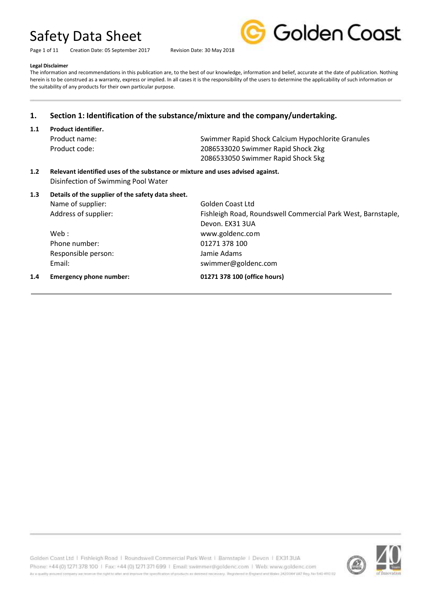Page 1 of 11 Creation Date: 05 September 2017 Revision Date: 30 May 2018



#### **Legal Disclaimer**

The information and recommendations in this publication are, to the best of our knowledge, information and belief, accurate at the date of publication. Nothing herein is to be construed as a warranty, express or implied. In all cases it is the responsibility of the users to determine the applicability of such information or the suitability of any products for their own particular purpose.

## **1. Section 1: Identification of the substance/mixture and the company/undertaking.**

**1.1 Product identifier.**

Product name: Swimmer Rapid Shock Calcium Hypochlorite Granules Product code: 2086533020 Swimmer Rapid Shock 2kg 2086533050 Swimmer Rapid Shock 5kg

**1.2 Relevant identified uses of the substance or mixture and uses advised against.** Disinfection of Swimming Pool Water

### **1.3 Details of the supplier of the safety data sheet.**

| 1.4 | <b>Emergency phone number:</b> | 01271 378 100 (office hours)                                 |
|-----|--------------------------------|--------------------------------------------------------------|
|     | Email:                         | swimmer@goldenc.com                                          |
|     | Responsible person:            | Jamie Adams                                                  |
|     | Phone number:                  | 01271 378 100                                                |
|     | Web :                          | www.goldenc.com                                              |
|     |                                | Devon. EX31 3UA                                              |
|     | Address of supplier:           | Fishleigh Road, Roundswell Commercial Park West, Barnstaple, |
|     | Name of supplier:              | Golden Coast Ltd                                             |
|     |                                |                                                              |

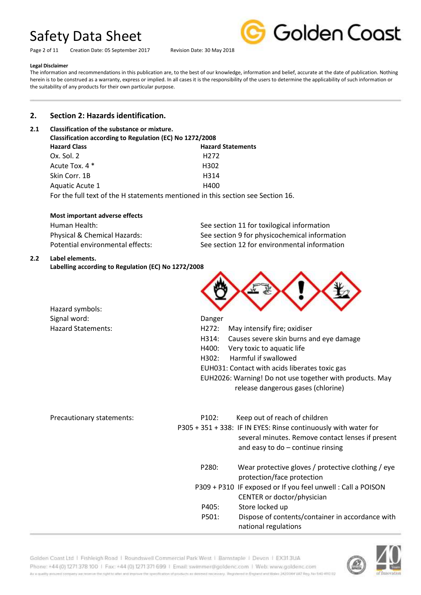Page 2 of 11 Creation Date: 05 September 2017 Revision Date: 30 May 2018



#### **Legal Disclaimer**

The information and recommendations in this publication are, to the best of our knowledge, information and belief, accurate at the date of publication. Nothing herein is to be construed as a warranty, express or implied. In all cases it is the responsibility of the users to determine the applicability of such information or the suitability of any products for their own particular purpose.

## **2. Section 2: Hazards identification.**

### **2.1 Classification of the substance or mixture.**

| Classification according to Regulation (EC) No 1272/2008 |                                                                                 |  |
|----------------------------------------------------------|---------------------------------------------------------------------------------|--|
| <b>Hazard Class</b>                                      | <b>Hazard Statements</b>                                                        |  |
| Ox. Sol. 2                                               | H <sub>272</sub>                                                                |  |
| Acute Tox. 4 *                                           | H <sub>3</sub> 02                                                               |  |
| Skin Corr. 1B                                            | H314                                                                            |  |
| Aquatic Acute 1                                          | H400                                                                            |  |
|                                                          | For the full text of the H statements mentioned in this section see Section 16. |  |

#### **Most important adverse effects**

| Human Health:                    | See section 11 for toxilogical information    |
|----------------------------------|-----------------------------------------------|
| Physical & Chemical Hazards:     | See section 9 for physicochemical information |
| Potential environmental effects: | See section 12 for environmental information  |

Danger

#### **2.2 Label elements.**

**Labelling according to Regulation (EC) No 1272/2008**

| Hazard symbols:    |
|--------------------|
| Signal word:       |
| Hazard Statements: |

H272: May intensify fire; oxidiser

- H314: Causes severe skin burns and eye damage
- H400: Very toxic to aquatic life
- H302: Harmful if swallowed
- EUH031: Contact with acids liberates toxic gas
- EUH2026: Warning! Do not use together with products. May release dangerous gases (chlorine)

| P <sub>102</sub> : | Keep out of reach of children<br>P305 + 351 + 338: IF IN EYES: Rinse continuously with water for<br>several minutes. Remove contact lenses if present<br>and easy to $do$ – continue rinsing |
|--------------------|----------------------------------------------------------------------------------------------------------------------------------------------------------------------------------------------|
| P280:              | Wear protective gloves / protective clothing / eye<br>protection/face protection                                                                                                             |
|                    | P309 + P310 IF exposed or If you feel unwell: Call a POISON<br>CENTER or doctor/physician                                                                                                    |
| P405:              | Store locked up                                                                                                                                                                              |
| P501:              | Dispose of contents/container in accordance with<br>national regulations                                                                                                                     |
|                    |                                                                                                                                                                                              |

Golden Coast Ltd | Fishleigh Road | Roundswell Commercial Park West | Barnstaple | Devon | EX313UA Phone: +44 (0) 1271 378 100 | Fax: +44 (0) 1271 371 699 | Email: swimmer@goldenc.com | Web: www.goldenc.com As a quality entured company we reserve the right to aller and exposure the specification of products as determinated and as any illegatement in England and Wales (AQDO44 VAT Reg. Just 540-410 D2

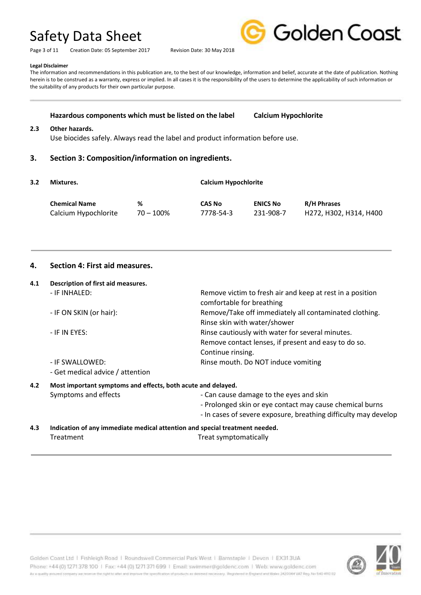Page 3 of 11 Creation Date: 05 September 2017 Revision Date: 30 May 2018



**Legal Disclaimer**

The information and recommendations in this publication are, to the best of our knowledge, information and belief, accurate at the date of publication. Nothing herein is to be construed as a warranty, express or implied. In all cases it is the responsibility of the users to determine the applicability of such information or the suitability of any products for their own particular purpose.

#### **Hazardous components which must be listed on the label Calcium Hypochlorite**

#### **2.3 Other hazards.**

Use biocides safely. Always read the label and product information before use.

#### **3. Section 3: Composition/information on ingredients.**

| 3.2 | Mixtures.            |              |               | <b>Calcium Hypochlorite</b> |                        |  |
|-----|----------------------|--------------|---------------|-----------------------------|------------------------|--|
|     | <b>Chemical Name</b> | %            | <b>CAS No</b> | <b>ENICS No</b>             | <b>R/H Phrases</b>     |  |
|     | Calcium Hypochlorite | $70 - 100\%$ | 7778-54-3     | 231-908-7                   | H272, H302, H314, H400 |  |

#### **4. Section 4: First aid measures.**

#### **4.1 Description of first aid measures.**

| 4.L | Description of mist ald measures.                                           |                                                                                        |  |
|-----|-----------------------------------------------------------------------------|----------------------------------------------------------------------------------------|--|
|     | - IF INHALED:                                                               | Remove victim to fresh air and keep at rest in a position<br>comfortable for breathing |  |
|     | - IF ON SKIN (or hair):                                                     | Remove/Take off immediately all contaminated clothing.<br>Rinse skin with water/shower |  |
|     | - IF IN EYES:                                                               | Rinse cautiously with water for several minutes.                                       |  |
|     |                                                                             | Remove contact lenses, if present and easy to do so.                                   |  |
|     |                                                                             | Continue rinsing.                                                                      |  |
|     | - IF SWALLOWED:                                                             | Rinse mouth. Do NOT induce vomiting                                                    |  |
|     | - Get medical advice / attention                                            |                                                                                        |  |
| 4.2 | Most important symptoms and effects, both acute and delayed.                |                                                                                        |  |
|     | Symptoms and effects                                                        | - Can cause damage to the eyes and skin                                                |  |
|     |                                                                             | - Prolonged skin or eye contact may cause chemical burns                               |  |
|     |                                                                             | - In cases of severe exposure, breathing difficulty may develop                        |  |
| 4.3 | Indication of any immediate medical attention and special treatment needed. |                                                                                        |  |

Treatment Treat symptomatically

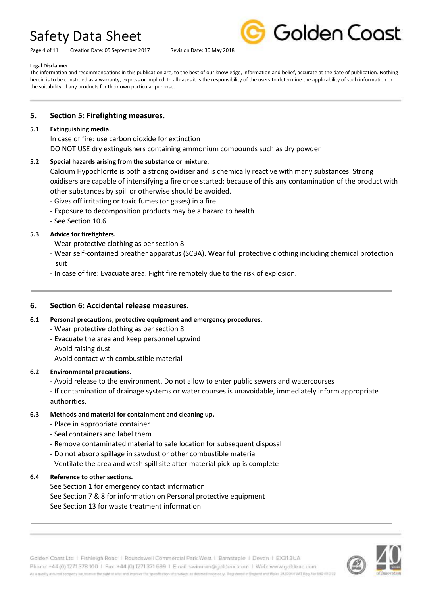Page 4 of 11 Creation Date: 05 September 2017 Revision Date: 30 May 2018



#### **Legal Disclaimer**

The information and recommendations in this publication are, to the best of our knowledge, information and belief, accurate at the date of publication. Nothing herein is to be construed as a warranty, express or implied. In all cases it is the responsibility of the users to determine the applicability of such information or the suitability of any products for their own particular purpose.

### **5. Section 5: Firefighting measures.**

#### **5.1 Extinguishing media.**

In case of fire: use carbon dioxide for extinction DO NOT USE dry extinguishers containing ammonium compounds such as dry powder

### **5.2 Special hazards arising from the substance or mixture.**

Calcium Hypochlorite is both a strong oxidiser and is chemically reactive with many substances. Strong oxidisers are capable of intensifying a fire once started; because of this any contamination of the product with other substances by spill or otherwise should be avoided.

- Gives off irritating or toxic fumes (or gases) in a fire.
- Exposure to decomposition products may be a hazard to health
- See Section 10.6

### **5.3 Advice for firefighters.**

- Wear protective clothing as per section 8
- Wear self-contained breather apparatus (SCBA). Wear full protective clothing including chemical protection suit
- In case of fire: Evacuate area. Fight fire remotely due to the risk of explosion.

### **6. Section 6: Accidental release measures.**

### **6.1 Personal precautions, protective equipment and emergency procedures.**

- Wear protective clothing as per section 8
- Evacuate the area and keep personnel upwind
- Avoid raising dust
- Avoid contact with combustible material

### **6.2 Environmental precautions.**

- Avoid release to the environment. Do not allow to enter public sewers and watercourses

- If contamination of drainage systems or water courses is unavoidable, immediately inform appropriate authorities.

#### **6.3 Methods and material for containment and cleaning up.**

- Place in appropriate container
- Seal containers and label them
- Remove contaminated material to safe location for subsequent disposal
- Do not absorb spillage in sawdust or other combustible material
- Ventilate the area and wash spill site after material pick-up is complete

### **6.4 Reference to other sections.**

See Section 1 for emergency contact information See Section 7 & 8 for information on Personal protective equipment See Section 13 for waste treatment information

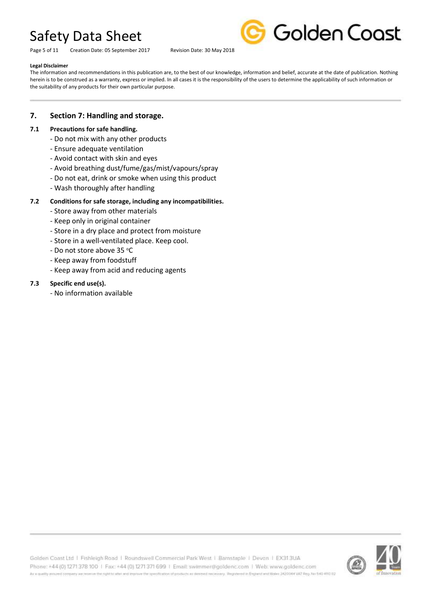Page 5 of 11 Creation Date: 05 September 2017 Revision Date: 30 May 2018



#### **Legal Disclaimer**

The information and recommendations in this publication are, to the best of our knowledge, information and belief, accurate at the date of publication. Nothing herein is to be construed as a warranty, express or implied. In all cases it is the responsibility of the users to determine the applicability of such information or the suitability of any products for their own particular purpose.

### **7. Section 7: Handling and storage.**

#### **7.1 Precautions for safe handling.**

- Do not mix with any other products
- Ensure adequate ventilation
- Avoid contact with skin and eyes
- Avoid breathing dust/fume/gas/mist/vapours/spray
- Do not eat, drink or smoke when using this product
- Wash thoroughly after handling

#### **7.2 Conditions for safe storage, including any incompatibilities.**

- Store away from other materials
- Keep only in original container
- Store in a dry place and protect from moisture
- Store in a well-ventilated place. Keep cool.
- Do not store above 35 °C
- Keep away from foodstuff
- Keep away from acid and reducing agents

#### **7.3 Specific end use(s).**

- No information available

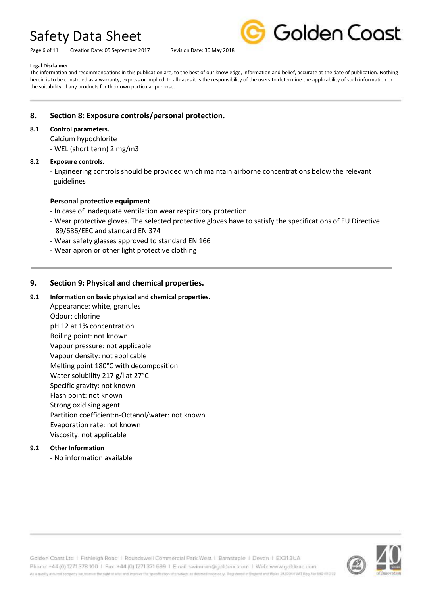Page 6 of 11 Creation Date: 05 September 2017 Revision Date: 30 May 2018



#### **Legal Disclaimer**

The information and recommendations in this publication are, to the best of our knowledge, information and belief, accurate at the date of publication. Nothing herein is to be construed as a warranty, express or implied. In all cases it is the responsibility of the users to determine the applicability of such information or the suitability of any products for their own particular purpose.

### **8. Section 8: Exposure controls/personal protection.**

#### **8.1 Control parameters.**

Calcium hypochlorite - WEL (short term) 2 mg/m3

#### **8.2 Exposure controls.**

- Engineering controls should be provided which maintain airborne concentrations below the relevant guidelines

### **Personal protective equipment**

- In case of inadequate ventilation wear respiratory protection
- Wear protective gloves. The selected protective gloves have to satisfy the specifications of EU Directive 89/686/EEC and standard EN 374
- Wear safety glasses approved to standard EN 166
- Wear apron or other light protective clothing

### **9. Section 9: Physical and chemical properties.**

- **9.1 Information on basic physical and chemical properties.** Appearance: white, granules Odour: chlorine pH 12 at 1% concentration Boiling point: not known Vapour pressure: not applicable Vapour density: not applicable Melting point 180°C with decomposition Water solubility 217 g/l at 27°C Specific gravity: not known Flash point: not known Strong oxidising agent
	- Partition coefficient:n-Octanol/water: not known
	- Evaporation rate: not known
	- Viscosity: not applicable

### **9.2 Other Information**

- No information available



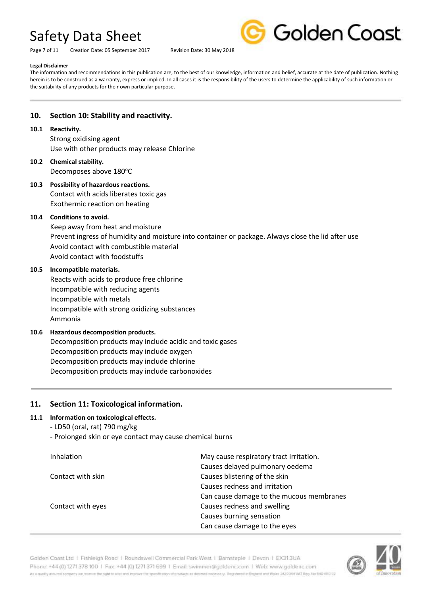Page 7 of 11 Creation Date: 05 September 2017 Revision Date: 30 May 2018



#### **Legal Disclaimer**

The information and recommendations in this publication are, to the best of our knowledge, information and belief, accurate at the date of publication. Nothing herein is to be construed as a warranty, express or implied. In all cases it is the responsibility of the users to determine the applicability of such information or the suitability of any products for their own particular purpose.

### **10. Section 10: Stability and reactivity.**

#### **10.1 Reactivity.**

Strong oxidising agent Use with other products may release Chlorine

- **10.2 Chemical stability.** Decomposes above 180°C
- **10.3 Possibility of hazardous reactions.** Contact with acids liberates toxic gas Exothermic reaction on heating

### **10.4 Conditions to avoid.**

Keep away from heat and moisture Prevent ingress of humidity and moisture into container or package. Always close the lid after use Avoid contact with combustible material Avoid contact with foodstuffs

#### **10.5 Incompatible materials.**

Reacts with acids to produce free chlorine Incompatible with reducing agents Incompatible with metals Incompatible with strong oxidizing substances Ammonia

### **10.6 Hazardous decomposition products.**

Decomposition products may include acidic and toxic gases Decomposition products may include oxygen Decomposition products may include chlorine Decomposition products may include carbonoxides

### **11. Section 11: Toxicological information.**

### **11.1 Information on toxicological effects.**

- LD50 (oral, rat) 790 mg/kg
- Prolonged skin or eye contact may cause chemical burns

| Inhalation        | May cause respiratory tract irritation.  |
|-------------------|------------------------------------------|
|                   | Causes delayed pulmonary oedema          |
| Contact with skin | Causes blistering of the skin            |
|                   | Causes redness and irritation            |
|                   | Can cause damage to the mucous membranes |
| Contact with eyes | Causes redness and swelling              |
|                   | Causes burning sensation                 |
|                   | Can cause damage to the eyes             |

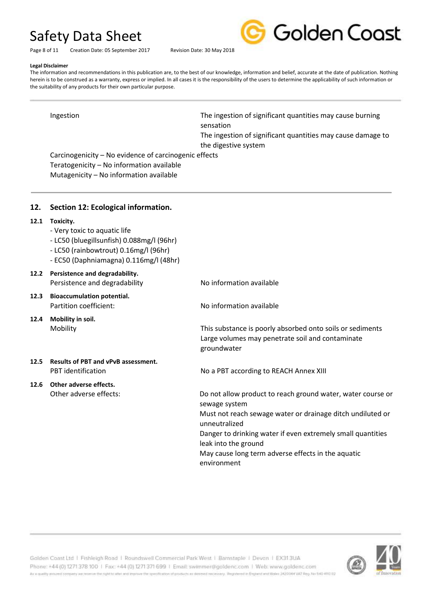Page 8 of 11 Creation Date: 05 September 2017 Revision Date: 30 May 2018



**Legal Disclaimer** The information and recommendations in this publication are, to the best of our knowledge, information and belief, accurate at the date of publication. Nothing herein is to be construed as a warranty, express or implied. In all cases it is the responsibility of the users to determine the applicability of such information or the suitability of any products for their own particular purpose.

Ingestion The ingestion of significant quantities may cause burning sensation

> The ingestion of significant quantities may cause damage to the digestive system

Carcinogenicity – No evidence of carcinogenic effects Teratogenicity – No information available Mutagenicity – No information available

## **12. Section 12: Ecological information.**

### **12.1 Toxicity.**

- Very toxic to aquatic life
- LC50 (bluegillsunfish) 0.088mg/l (96hr)
- LC50 (rainbowtrout) 0.16mg/l (96hr)
- EC50 (Daphniamagna) 0.116mg/l (48hr)

### **12.2 Persistence and degradability.** Persistence and degradability No information available

- **12.3 Bioaccumulation potential.** Partition coefficient: No information available
- **12.4 Mobility in soil.**

# **12.5 Results of PBT and vPvB assessment.**

# **12.6 Other adverse effects.**

Mobility This substance is poorly absorbed onto soils or sediments Large volumes may penetrate soil and contaminate groundwater

PBT identification **No a PBT according to REACH Annex XIII** 

Other adverse effects: Do not allow product to reach ground water, water course or sewage system Must not reach sewage water or drainage ditch undiluted or unneutralized Danger to drinking water if even extremely small quantities leak into the ground May cause long term adverse effects in the aquatic environment

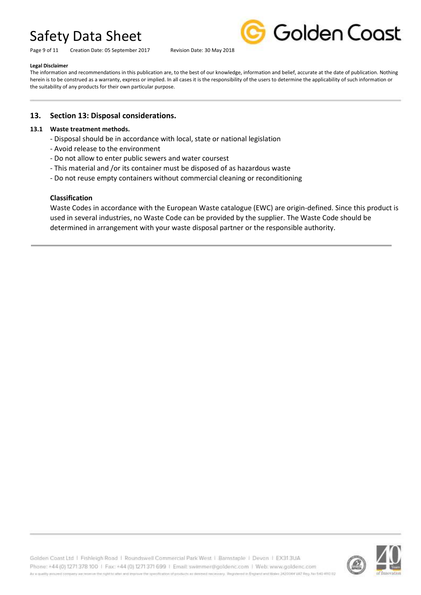Page 9 of 11 Creation Date: 05 September 2017 Revision Date: 30 May 2018



#### **Legal Disclaimer**

The information and recommendations in this publication are, to the best of our knowledge, information and belief, accurate at the date of publication. Nothing herein is to be construed as a warranty, express or implied. In all cases it is the responsibility of the users to determine the applicability of such information or the suitability of any products for their own particular purpose.

### **13. Section 13: Disposal considerations.**

#### **13.1 Waste treatment methods.**

- Disposal should be in accordance with local, state or national legislation
- Avoid release to the environment
- Do not allow to enter public sewers and water coursest
- This material and /or its container must be disposed of as hazardous waste
- Do not reuse empty containers without commercial cleaning or reconditioning

#### **Classification**

Waste Codes in accordance with the European Waste catalogue (EWC) are origin-defined. Since this product is used in several industries, no Waste Code can be provided by the supplier. The Waste Code should be determined in arrangement with your waste disposal partner or the responsible authority.

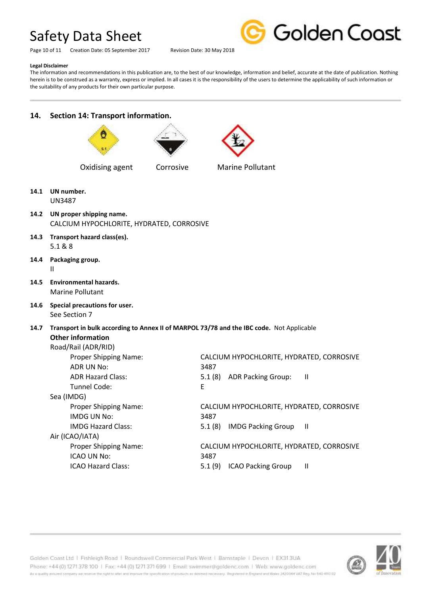Page 10 of 11 Creation Date: 05 September 2017 Revision Date: 30 May 2018



#### **Legal Disclaimer**

The information and recommendations in this publication are, to the best of our knowledge, information and belief, accurate at the date of publication. Nothing herein is to be construed as a warranty, express or implied. In all cases it is the responsibility of the users to determine the applicability of such information or the suitability of any products for their own particular purpose.

# **14. Section 14: Transport information.**







Oxidising agent Corrosive Marine Pollutant



UN3487

- **14.2 UN proper shipping name.** CALCIUM HYPOCHLORITE, HYDRATED, CORROSIVE
- **14.3 Transport hazard class(es).** 5.1 & 8
- **14.4 Packaging group.** II
- **14.5 Environmental hazards.** Marine Pollutant
- **14.6 Special precautions for user.** See Section 7

**14.7 Transport in bulk according to Annex II of MARPOL 73/78 and the IBC code.** Not Applicable **Other information**

# Road/Rail (ADR/RID)

| Proper Shipping Name:        | CALCIUM HYPOCHLORITE, HYDRATED, CORROSIVE           |
|------------------------------|-----------------------------------------------------|
| ADR UN No:                   | 3487                                                |
| <b>ADR Hazard Class:</b>     | 5.1(8)<br><b>ADR Packing Group:</b><br>$\mathbf{I}$ |
| Tunnel Code:                 | E                                                   |
| Sea (IMDG)                   |                                                     |
| <b>Proper Shipping Name:</b> | CALCIUM HYPOCHLORITE, HYDRATED, CORROSIVE           |
| IMDG UN No:                  | 3487                                                |
| <b>IMDG Hazard Class:</b>    | <b>IMDG Packing Group</b><br>5.1(8)<br>H            |
| Air (ICAO/IATA)              |                                                     |
| Proper Shipping Name:        | CALCIUM HYPOCHLORITE, HYDRATED, CORROSIVE           |
| ICAO UN No:                  | 3487                                                |
| <b>ICAO Hazard Class:</b>    | <b>ICAO Packing Group</b><br>5.1(9)<br>Ш            |
|                              |                                                     |